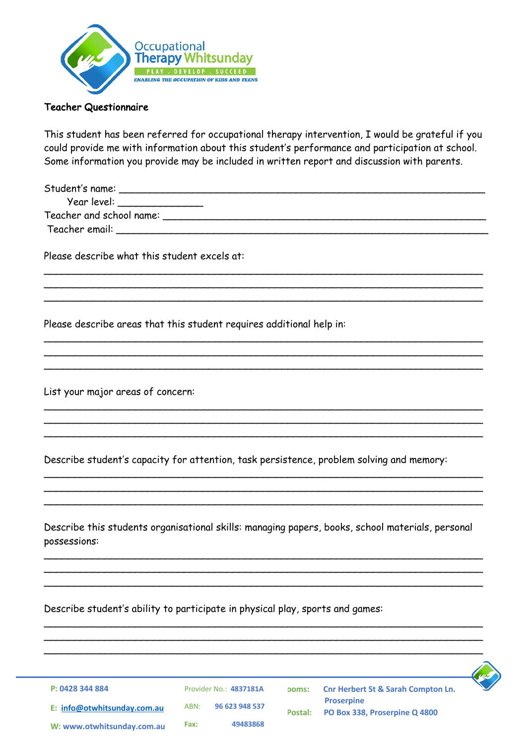

## Teacher Questionnaire

This student has been referred for occupational therapy intervention, I would be grateful if you could provide me with information about this student's performance and participation at school. Some information you provide may be included in written report and discussion with parents.

| Student's name:             |  |  |
|-----------------------------|--|--|
| Year level: _______________ |  |  |
| Teacher and school name:    |  |  |
| Teacher email:              |  |  |
|                             |  |  |

\_\_\_\_\_\_\_\_\_\_\_\_\_\_\_\_\_\_\_\_\_\_\_\_\_\_\_\_\_\_\_\_\_\_\_\_\_\_\_\_\_\_\_\_\_\_\_\_\_\_\_\_\_\_\_\_\_\_\_\_\_\_\_\_\_\_\_\_\_\_\_\_ \_\_\_\_\_\_\_\_\_\_\_\_\_\_\_\_\_\_\_\_\_\_\_\_\_\_\_\_\_\_\_\_\_\_\_\_\_\_\_\_\_\_\_\_\_\_\_\_\_\_\_\_\_\_\_\_\_\_\_\_\_\_\_\_\_\_\_\_\_\_\_\_ \_\_\_\_\_\_\_\_\_\_\_\_\_\_\_\_\_\_\_\_\_\_\_\_\_\_\_\_\_\_\_\_\_\_\_\_\_\_\_\_\_\_\_\_\_\_\_\_\_\_\_\_\_\_\_\_\_\_\_\_\_\_\_\_\_\_\_\_\_\_\_\_

\_\_\_\_\_\_\_\_\_\_\_\_\_\_\_\_\_\_\_\_\_\_\_\_\_\_\_\_\_\_\_\_\_\_\_\_\_\_\_\_\_\_\_\_\_\_\_\_\_\_\_\_\_\_\_\_\_\_\_\_\_\_\_\_\_\_\_\_\_\_\_\_ \_\_\_\_\_\_\_\_\_\_\_\_\_\_\_\_\_\_\_\_\_\_\_\_\_\_\_\_\_\_\_\_\_\_\_\_\_\_\_\_\_\_\_\_\_\_\_\_\_\_\_\_\_\_\_\_\_\_\_\_\_\_\_\_\_\_\_\_\_\_\_\_ \_\_\_\_\_\_\_\_\_\_\_\_\_\_\_\_\_\_\_\_\_\_\_\_\_\_\_\_\_\_\_\_\_\_\_\_\_\_\_\_\_\_\_\_\_\_\_\_\_\_\_\_\_\_\_\_\_\_\_\_\_\_\_\_\_\_\_\_\_\_\_\_

\_\_\_\_\_\_\_\_\_\_\_\_\_\_\_\_\_\_\_\_\_\_\_\_\_\_\_\_\_\_\_\_\_\_\_\_\_\_\_\_\_\_\_\_\_\_\_\_\_\_\_\_\_\_\_\_\_\_\_\_\_\_\_\_\_\_\_\_\_\_\_\_ \_\_\_\_\_\_\_\_\_\_\_\_\_\_\_\_\_\_\_\_\_\_\_\_\_\_\_\_\_\_\_\_\_\_\_\_\_\_\_\_\_\_\_\_\_\_\_\_\_\_\_\_\_\_\_\_\_\_\_\_\_\_\_\_\_\_\_\_\_\_\_\_ \_\_\_\_\_\_\_\_\_\_\_\_\_\_\_\_\_\_\_\_\_\_\_\_\_\_\_\_\_\_\_\_\_\_\_\_\_\_\_\_\_\_\_\_\_\_\_\_\_\_\_\_\_\_\_\_\_\_\_\_\_\_\_\_\_\_\_\_\_\_\_\_

\_\_\_\_\_\_\_\_\_\_\_\_\_\_\_\_\_\_\_\_\_\_\_\_\_\_\_\_\_\_\_\_\_\_\_\_\_\_\_\_\_\_\_\_\_\_\_\_\_\_\_\_\_\_\_\_\_\_\_\_\_\_\_\_\_\_\_\_\_\_\_\_ \_\_\_\_\_\_\_\_\_\_\_\_\_\_\_\_\_\_\_\_\_\_\_\_\_\_\_\_\_\_\_\_\_\_\_\_\_\_\_\_\_\_\_\_\_\_\_\_\_\_\_\_\_\_\_\_\_\_\_\_\_\_\_\_\_\_\_\_\_\_\_\_  $\overline{\phantom{a}}$ 

Please describe what this student excels at:

Please describe areas that this student requires additional help in:

List your major areas of concern:

Describe student's capacity for attention, task persistence, problem solving and memory:

Describe this students organisational skills: managing papers, books, school materials, personal possessions:

\_\_\_\_\_\_\_\_\_\_\_\_\_\_\_\_\_\_\_\_\_\_\_\_\_\_\_\_\_\_\_\_\_\_\_\_\_\_\_\_\_\_\_\_\_\_\_\_\_\_\_\_\_\_\_\_\_\_\_\_\_\_\_\_\_\_\_\_\_\_\_\_ \_\_\_\_\_\_\_\_\_\_\_\_\_\_\_\_\_\_\_\_\_\_\_\_\_\_\_\_\_\_\_\_\_\_\_\_\_\_\_\_\_\_\_\_\_\_\_\_\_\_\_\_\_\_\_\_\_\_\_\_\_\_\_\_\_\_\_\_\_\_\_\_ \_\_\_\_\_\_\_\_\_\_\_\_\_\_\_\_\_\_\_\_\_\_\_\_\_\_\_\_\_\_\_\_\_\_\_\_\_\_\_\_\_\_\_\_\_\_\_\_\_\_\_\_\_\_\_\_\_\_\_\_\_\_\_\_\_\_\_\_\_\_\_\_

 $\mathcal{L}$  , and the contribution of the contribution of the contribution of the contribution of the contribution of the contribution of the contribution of the contribution of the contribution of the contribution of the co  $\mathcal{L} = \{ \mathcal{L} = \{ \mathcal{L} \mid \mathcal{L} = \{ \mathcal{L} \mid \mathcal{L} = \{ \mathcal{L} \mid \mathcal{L} = \{ \mathcal{L} \mid \mathcal{L} = \{ \mathcal{L} \mid \mathcal{L} = \{ \mathcal{L} \mid \mathcal{L} = \{ \mathcal{L} \mid \mathcal{L} = \{ \mathcal{L} \mid \mathcal{L} = \{ \mathcal{L} \mid \mathcal{L} = \{ \mathcal{L} \mid \mathcal{L} = \{ \mathcal{L} \mid \mathcal{L} = \{ \mathcal{L} \mid \mathcal{L} =$  $\mathcal{L} = \{ \mathcal{L} = \{ \mathcal{L} \mid \mathcal{L} = \{ \mathcal{L} \mid \mathcal{L} = \{ \mathcal{L} \mid \mathcal{L} = \{ \mathcal{L} \mid \mathcal{L} = \{ \mathcal{L} \mid \mathcal{L} = \{ \mathcal{L} \mid \mathcal{L} = \{ \mathcal{L} \mid \mathcal{L} = \{ \mathcal{L} \mid \mathcal{L} = \{ \mathcal{L} \mid \mathcal{L} = \{ \mathcal{L} \mid \mathcal{L} = \{ \mathcal{L} \mid \mathcal{L} = \{ \mathcal{L} \mid \mathcal{L} =$ 

Describe student's ability to participate in physical play, sports and games:

Provider No.: **4837181A**

ABN: **96 623 948 537 Fax: 49483868**



**Rooms: Cnr Herbert St & Sarah Compton Ln. Proserpine Postal: PO Box 338, Proserpine Q 4800**

**W: www.otwhitsunday.com.au**

**E: info@otwhitsunday.com.au**

**P: 0428 344 884**